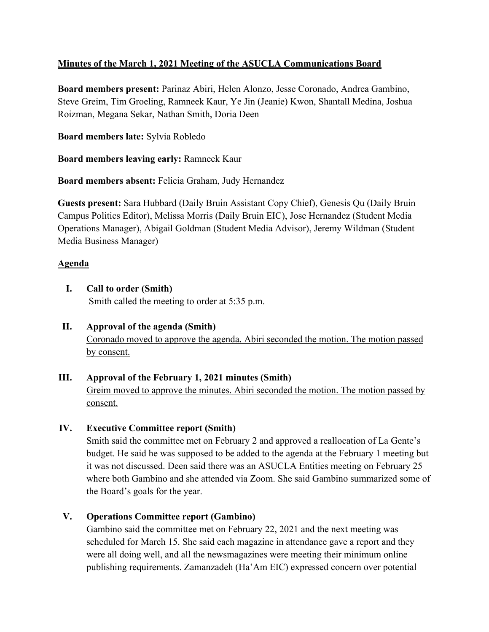# **Minutes of the March 1, 2021 Meeting of the ASUCLA Communications Board**

**Board members present:** Parinaz Abiri, Helen Alonzo, Jesse Coronado, Andrea Gambino, Steve Greim, Tim Groeling, Ramneek Kaur, Ye Jin (Jeanie) Kwon, Shantall Medina, Joshua Roizman, Megana Sekar, Nathan Smith, Doria Deen

**Board members late:** Sylvia Robledo

**Board members leaving early:** Ramneek Kaur

**Board members absent:** Felicia Graham, Judy Hernandez

**Guests present:** Sara Hubbard (Daily Bruin Assistant Copy Chief), Genesis Qu (Daily Bruin Campus Politics Editor), Melissa Morris (Daily Bruin EIC), Jose Hernandez (Student Media Operations Manager), Abigail Goldman (Student Media Advisor), Jeremy Wildman (Student Media Business Manager)

# **Agenda**

**I. Call to order (Smith)**

Smith called the meeting to order at 5:35 p.m.

**II. Approval of the agenda (Smith)** Coronado moved to approve the agenda. Abiri seconded the motion. The motion passed by consent.

# **III. Approval of the February 1, 2021 minutes (Smith)**

Greim moved to approve the minutes. Abiri seconded the motion. The motion passed by consent.

# **IV. Executive Committee report (Smith)**

Smith said the committee met on February 2 and approved a reallocation of La Gente's budget. He said he was supposed to be added to the agenda at the February 1 meeting but it was not discussed. Deen said there was an ASUCLA Entities meeting on February 25 where both Gambino and she attended via Zoom. She said Gambino summarized some of the Board's goals for the year.

# **V. Operations Committee report (Gambino)**

Gambino said the committee met on February 22, 2021 and the next meeting was scheduled for March 15. She said each magazine in attendance gave a report and they were all doing well, and all the newsmagazines were meeting their minimum online publishing requirements. Zamanzadeh (Ha'Am EIC) expressed concern over potential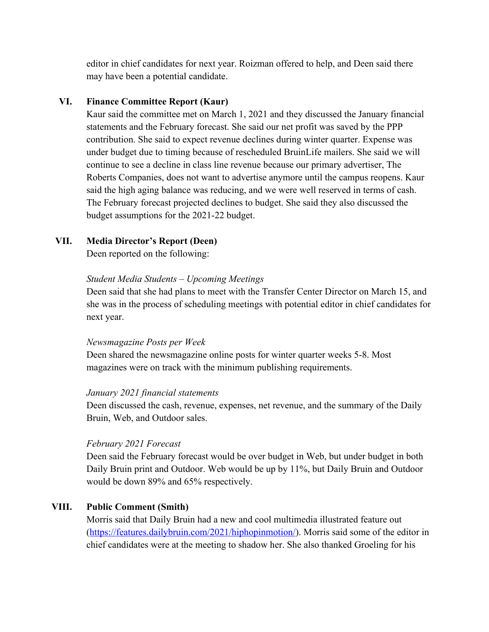editor in chief candidates for next year. Roizman offered to help, and Deen said there may have been a potential candidate.

## **VI. Finance Committee Report (Kaur)**

Kaur said the committee met on March 1, 2021 and they discussed the January financial statements and the February forecast. She said our net profit was saved by the PPP contribution. She said to expect revenue declines during winter quarter. Expense was under budget due to timing because of rescheduled BruinLife mailers. She said we will continue to see a decline in class line revenue because our primary advertiser, The Roberts Companies, does not want to advertise anymore until the campus reopens. Kaur said the high aging balance was reducing, and we were well reserved in terms of cash. The February forecast projected declines to budget. She said they also discussed the budget assumptions for the 2021-22 budget.

#### **VII. Media Director's Report (Deen)**

Deen reported on the following:

#### *Student Media Students – Upcoming Meetings*

Deen said that she had plans to meet with the Transfer Center Director on March 15, and she was in the process of scheduling meetings with potential editor in chief candidates for next year.

#### *Newsmagazine Posts per Week*

Deen shared the newsmagazine online posts for winter quarter weeks 5-8. Most magazines were on track with the minimum publishing requirements.

#### *January 2021 financial statements*

Deen discussed the cash, revenue, expenses, net revenue, and the summary of the Daily Bruin, Web, and Outdoor sales.

#### *February 2021 Forecast*

Deen said the February forecast would be over budget in Web, but under budget in both Daily Bruin print and Outdoor. Web would be up by 11%, but Daily Bruin and Outdoor would be down 89% and 65% respectively.

# **VIII. Public Comment (Smith)**

Morris said that Daily Bruin had a new and cool multimedia illustrated feature out (https://features.dailybruin.com/2021/hiphopinmotion/). Morris said some of the editor in chief candidates were at the meeting to shadow her. She also thanked Groeling for his